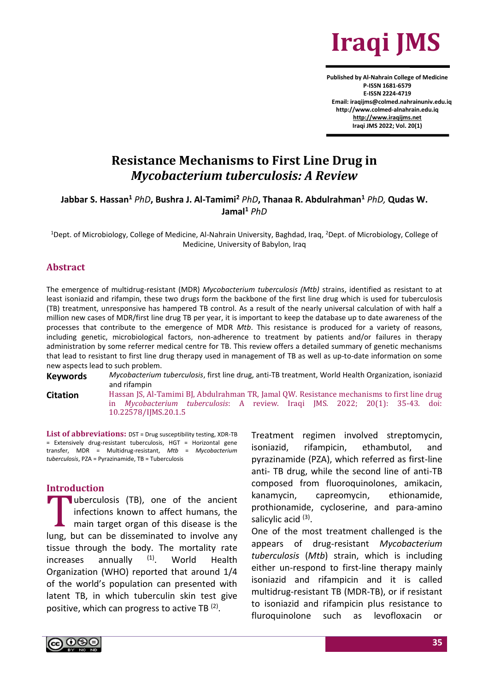

**Published by Al-Nahrain College of Medicine P-ISSN 1681-6579 E-ISSN 2224-4719 Email: iraqijms@colmed.nahrainuniv.edu.iq http://www.colmed-alnahrain.edu.iq [http://www.iraqijms.net](http://www.iraqijms.net/) Iraqi JMS 2022; Vol. 20(1)**

# **Resistance Mechanisms to First Line Drug in**  *Mycobacterium tuberculosis: A Review*

#### **Jabbar S. Hassan<sup>1</sup>** *PhD***, Bushra J. Al-Tamimi<sup>2</sup>** *PhD***, Thanaa R. Abdulrahman<sup>1</sup>** *PhD,* **Qudas W. Jamal<sup>1</sup>** *PhD*

<sup>1</sup>Dept. of Microbiology, College of Medicine, Al-Nahrain University, Baghdad, Iraq, <sup>2</sup>Dept. of Microbiology, College of Medicine, University of Babylon, Iraq

#### **Abstract**

The emergence of multidrug-resistant (MDR) *Mycobacterium tuberculosis (Mtb)* strains, identified as resistant to at least isoniazid and rifampin, these two drugs form the backbone of the first line drug which is used for tuberculosis (TB) treatment, unresponsive has hampered TB control. As a result of the nearly universal calculation of with half a million new cases of MDR/first line drug TB per year, it is important to keep the database up to date awareness of the processes that contribute to the emergence of MDR *Mtb*. This resistance is produced for a variety of reasons, including genetic, microbiological factors, non-adherence to treatment by patients and/or failures in therapy administration by some referrer medical centre for TB. This review offers a detailed summary of genetic mechanisms that lead to resistant to first line drug therapy used in management of TB as well as up-to-date information on some new aspects lead to such problem.

**Keywords** *Mycobacterium tuberculosis*, first line drug, anti-TB treatment, World Health Organization, isoniazid and rifampin **Citation** Hassan JS, Al-Tamimi BJ, Abdulrahman TR, Jamal QW. Resistance mechanisms to first line drug in *Mycobacterium tuberculosis*: A review. Iraqi JMS. 2022; 20(1): 35-43. doi:

**List of abbreviations:** DST = Drug susceptibility testing, XDR-TB = Extensively drug-resistant tuberculosis, HGT = Horizontal gene transfer, MDR = Multidrug-resistant, *Mtb* = *Mycobacterium tuberculosis*, PZA = Pyrazinamide, TB = Tuberculosis

10.22578/IJMS.20.1.5

#### **Introduction**

uberculosis (TB), one of the ancient infections known to affect humans, the main target organ of this disease is the lung, but can be disseminated to involve any tissue through the body. The mortality rate increases annually  $(1)$ . World Health Organization (WHO) reported that around 1/4 of the world's population can presented with latent TB, in which tuberculin skin test give positive, which can progress to active TB<sup>(2)</sup>. T<br>T

Treatment regimen involved streptomycin, isoniazid, rifampicin, ethambutol, and pyrazinamide (PZA), which referred as first-line anti- TB drug, while the second line of anti-TB composed from fluoroquinolones, amikacin, kanamycin, capreomycin, ethionamide, prothionamide, cycloserine, and para-amino salicylic acid (3).

One of the most treatment challenged is the appears of drug-resistant *Mycobacterium tuberculosis* (*Mtb*) strain, which is including either un-respond to first-line therapy mainly isoniazid and rifampicin and it is called multidrug-resistant TB (MDR-TB), or if resistant to isoniazid and rifampicin plus resistance to fluroquinolone such as levofloxacin or

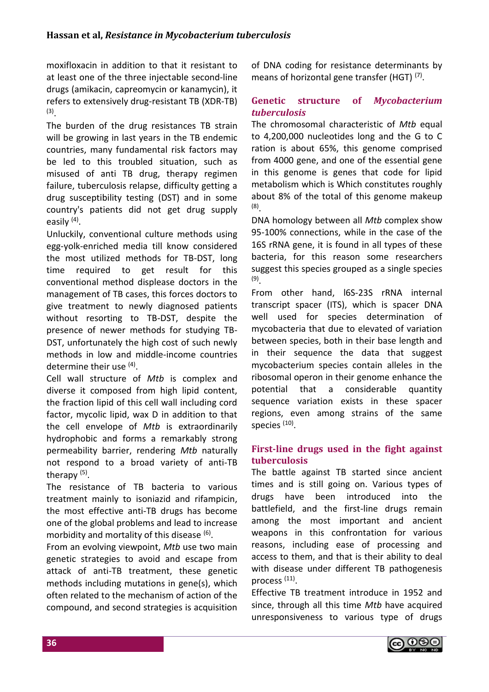moxifloxacin in addition to that it resistant to at least one of the three injectable second-line drugs (amikacin, capreomycin or kanamycin), it refers to extensively drug-resistant TB (XDR-TB) (3) .

The burden of the drug resistances TB strain will be growing in last years in the TB endemic countries, many fundamental risk factors may be led to this troubled situation, such as misused of anti TB drug, therapy regimen failure, tuberculosis relapse, difficulty getting a drug susceptibility testing (DST) and in some country's patients did not get drug supply easily <sup>(4)</sup>.

Unluckily, conventional culture methods using egg-yolk-enriched media till know considered the most utilized methods for TB-DST, long time required to get result for this conventional method displease doctors in the management of TB cases, this forces doctors to give treatment to newly diagnosed patients without resorting to TB-DST, despite the presence of newer methods for studying TB-DST, unfortunately the high cost of such newly methods in low and middle-income countries determine their use <sup>(4)</sup>.

Cell wall structure of *Mtb* is complex and diverse it composed from high lipid content, the fraction lipid of this cell wall including cord factor, mycolic lipid, wax D in addition to that the cell envelope of *Mtb* is extraordinarily hydrophobic and forms a remarkably strong permeability barrier, rendering *Mtb* naturally not respond to a broad variety of anti-TB therapy<sup>(5)</sup>.

The resistance of TB bacteria to various treatment mainly to isoniazid and rifampicin, the most effective anti-TB drugs has become one of the global problems and lead to increase morbidity and mortality of this disease (6).

From an evolving viewpoint, *Mtb* use two main genetic strategies to avoid and escape from attack of anti-TB treatment, these genetic methods including mutations in gene(s), which often related to the mechanism of action of the compound, and second strategies is acquisition of DNA coding for resistance determinants by means of horizontal gene transfer (HGT)<sup>(7)</sup>.

#### **Genetic structure of** *Mycobacterium tuberculosis*

The chromosomal characteristic of *Mtb* equal to 4,200,000 nucleotides long and the G to C ration is about 65%, this genome comprised from 4000 gene, and one of the essential gene in this genome is genes that code for lipid metabolism which is Which constitutes roughly about 8% of the total of this genome makeup (8) .

DNA homology between all *Mtb* complex show 95-100% connections, while in the case of the 16S rRNA gene, it is found in all types of these bacteria, for this reason some researchers suggest this species grouped as a single species (9) .

From other hand, l6S-23S rRNA internal transcript spacer (ITS), which is spacer DNA well used for species determination of mycobacteria that due to elevated of variation between species, both in their base length and in their sequence the data that suggest mycobacterium species contain alleles in the ribosomal operon in their genome enhance the potential that a considerable quantity sequence variation exists in these spacer regions, even among strains of the same species<sup>(10)</sup>.

## **First-line drugs used in the fight against tuberculosis**

The battle against TB started since ancient times and is still going on. Various types of drugs have been introduced into the battlefield, and the first-line drugs remain among the most important and ancient weapons in this confrontation for various reasons, including ease of processing and access to them, and that is their ability to deal with disease under different TB pathogenesis process (11) .

Effective TB treatment introduce in 1952 and since, through all this time *Mtb* have acquired unresponsiveness to various type of drugs

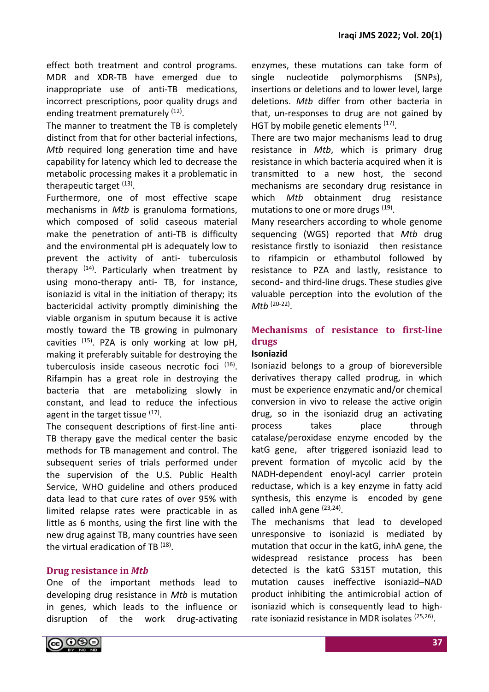effect both treatment and control programs. MDR and XDR-TB have emerged due to inappropriate use of anti-TB medications, incorrect prescriptions, poor quality drugs and ending treatment prematurely <sup>(12)</sup>.

The manner to treatment the TB is completely distinct from that for other bacterial infections, *Mtb* required long generation time and have capability for latency which led to decrease the metabolic processing makes it a problematic in therapeutic target <sup>(13)</sup>.

Furthermore, one of most effective scape mechanisms in *Mtb* is granuloma formations, which composed of solid caseous material make the penetration of anti-TB is difficulty and the environmental pH is adequately low to prevent the activity of anti- tuberculosis therapy<sup>(14)</sup>. Particularly when treatment by using mono-therapy anti- TB, for instance, isoniazid is vital in the initiation of therapy; its bactericidal activity promptly diminishing the viable organism in sputum because it is active mostly toward the TB growing in pulmonary cavities  $(15)$ . PZA is only working at low pH, making it preferably suitable for destroying the tuberculosis inside caseous necrotic foci <sup>(16)</sup>. Rifampin has a great role in destroying the bacteria that are metabolizing slowly in constant, and lead to reduce the infectious agent in the target tissue <sup>(17)</sup>.

The consequent descriptions of first-line anti-TB therapy gave the medical center the basic methods for TB management and control. The subsequent series of trials performed under the supervision of the U.S. Public Health Service, WHO guideline and others produced data lead to that cure rates of over 95% with limited relapse rates were practicable in as little as 6 months, using the first line with the new drug against TB, many countries have seen the virtual eradication of TB<sup>(18)</sup>.

## **Drug resistance in** *Mtb*

One of the important methods lead to developing drug resistance in *Mtb* is mutation in genes, which leads to the influence or disruption of the work drug-activating enzymes, these mutations can take form of single nucleotide polymorphisms (SNPs), insertions or deletions and to lower level, large deletions. *Mtb* differ from other bacteria in that, un-responses to drug are not gained by HGT by mobile genetic elements <sup>(17)</sup>.

There are two major mechanisms lead to drug resistance in *Mtb*, which is primary drug resistance in which bacteria acquired when it is transmitted to a new host, the second mechanisms are secondary drug resistance in which *Mtb* obtainment drug resistance mutations to one or more drugs <sup>(19)</sup>.

Many researchers according to whole genome sequencing (WGS) reported that *Mtb* drug resistance firstly to isoniazid then resistance to rifampicin or ethambutol followed by resistance to PZA and lastly, resistance to second- and third-line drugs. These studies give valuable perception into the evolution of the *Mtb* (20-22) .

## **Mechanisms of resistance to first-line drugs**

## **Isoniazid**

Isoniazid belongs to a group of bioreversible derivatives therapy called prodrug, in which must be experience enzymatic and/or chemical conversion in vivo to release the active origin drug, so in the isoniazid drug an activating process takes place through catalase/peroxidase enzyme encoded by the katG gene, after triggered isoniazid lead to prevent formation of mycolic acid by the NADH-dependent enoyl-acyl carrier protein reductase, which is a key enzyme in fatty acid synthesis, this enzyme is encoded by gene called inhA gene (23,24).

The mechanisms that lead to developed unresponsive to isoniazid is mediated by mutation that occur in the katG, inhA gene, the widespread resistance process has been detected is the katG S315T mutation, this mutation causes ineffective isoniazid–NAD product inhibiting the antimicrobial action of isoniazid which is consequently lead to highrate isoniazid resistance in MDR isolates (25,26).

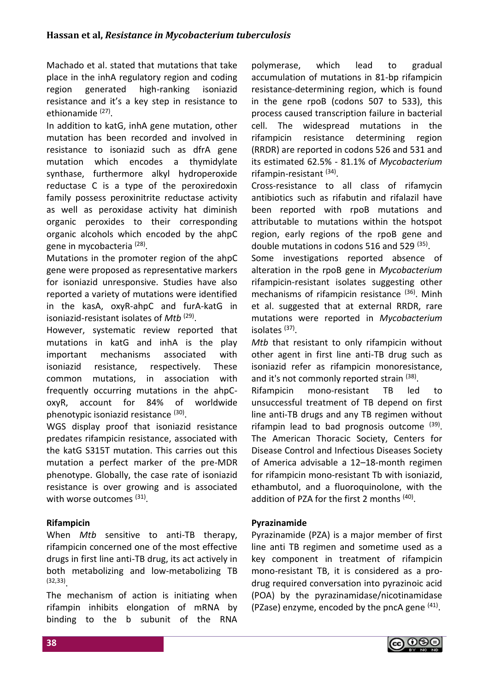Machado et al. stated that mutations that take place in the inhA regulatory region and coding region generated high-ranking isoniazid resistance and it's a key step in resistance to ethionamide (27).

In addition to katG, inhA gene mutation, other mutation has been recorded and involved in resistance to isoniazid such as dfrA gene mutation which encodes a thymidylate synthase, furthermore alkyl hydroperoxide reductase C is a type of the peroxiredoxin family possess peroxinitrite reductase activity as well as peroxidase activity hat diminish organic peroxides to their corresponding organic alcohols which encoded by the ahpC gene in mycobacteria <sup>(28)</sup>.

Mutations in the promoter region of the ahpC gene were proposed as representative markers for isoniazid unresponsive. Studies have also reported a variety of mutations were identified in the kasA, oxyR-ahpC and furA-katG in isoniazid-resistant isolates of Mtb<sup>(29)</sup>.

However, systematic review reported that mutations in katG and inhA is the play important mechanisms associated with isoniazid resistance, respectively. These common mutations, in association with frequently occurring mutations in the ahpCoxyR, account for 84% of worldwide phenotypic isoniazid resistance (30).

WGS display proof that isoniazid resistance predates rifampicin resistance, associated with the katG S315T mutation. This carries out this mutation a perfect marker of the pre-MDR phenotype. Globally, the case rate of isoniazid resistance is over growing and is associated with worse outcomes <sup>(31)</sup>.

## **Rifampicin**

When *Mtb* sensitive to anti-TB therapy, rifampicin concerned one of the most effective drugs in first line anti-TB drug, its act actively in both metabolizing and low-metabolizing TB (32,33) .

The mechanism of action is initiating when rifampin inhibits elongation of mRNA by binding to the b subunit of the RNA polymerase, which lead to gradual accumulation of mutations in 81-bp rifampicin resistance-determining region, which is found in the gene rpoB (codons 507 to 533), this process caused transcription failure in bacterial cell. The widespread mutations in the rifampicin resistance determining region (RRDR) are reported in codons 526 and 531 and its estimated 62.5% - 81.1% of *Mycobacterium* rifampin-resistant<sup>(34)</sup>.

Cross-resistance to all class of rifamycin antibiotics such as rifabutin and rifalazil have been reported with rpoB mutations and attributable to mutations within the hotspot region, early regions of the rpoB gene and double mutations in codons 516 and 529<sup>(35)</sup>.

Some investigations reported absence of alteration in the rpoB gene in *Mycobacterium* rifampicin-resistant isolates suggesting other mechanisms of rifampicin resistance (36). Minh et al. suggested that at external RRDR, rare mutations were reported in *Mycobacterium* isolates<sup>(37)</sup>.

*Mtb* that resistant to only rifampicin without other agent in first line anti-TB drug such as isoniazid refer as rifampicin monoresistance, and it's not commonly reported strain <sup>(38)</sup>.

Rifampicin mono‐resistant TB led to unsuccessful treatment of TB depend on first line anti-TB drugs and any TB regimen without rifampin lead to bad prognosis outcome <sup>(39)</sup>. The American Thoracic Society, Centers for Disease Control and Infectious Diseases Society of America advisable a 12–18‐month regimen for rifampicin mono‐resistant Tb with isoniazid, ethambutol, and a fluoroquinolone, with the addition of PZA for the first 2 months (40).

## **Pyrazinamide**

Pyrazinamide (PZA) is a major member of first line anti TB regimen and sometime used as a key component in treatment of rifampicin mono‐resistant TB, it is considered as a prodrug required conversation into pyrazinoic acid (POA) by the pyrazinamidase/nicotinamidase (PZase) enzyme, encoded by the pncA gene (41) .

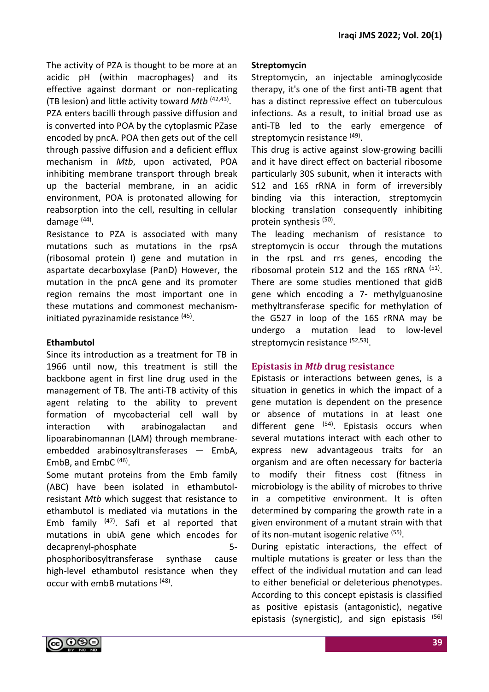The activity of PZA is thought to be more at an acidic pH (within macrophages) and its effective against dormant or non-replicating (TB lesion) and little activity toward *Mtb* (42,43) .

PZA enters bacilli through passive diffusion and is converted into POA by the cytoplasmic PZase encoded by pncA. POA then gets out of the cell through passive diffusion and a deficient efflux mechanism in *Mtb*, upon activated, POA inhibiting membrane transport through break up the bacterial membrane, in an acidic environment, POA is protonated allowing for reabsorption into the cell, resulting in cellular damage<sup>(44)</sup>.

Resistance to PZA is associated with many mutations such as mutations in the rpsA (ribosomal protein I) gene and mutation in aspartate decarboxylase (PanD) However, the mutation in the pncA gene and its promoter region remains the most important one in these mutations and commonest mechanisminitiated pyrazinamide resistance (45).

## **Ethambutol**

Since its introduction as a treatment for TB in 1966 until now, this treatment is still the backbone agent in first line drug used in the management of TB. The anti-TB activity of this agent relating to the ability to prevent formation of mycobacterial cell wall by interaction with arabinogalactan and lipoarabinomannan (LAM) through membraneembedded arabinosyltransferases — EmbA, EmbB, and EmbC (46) .

Some mutant proteins from the Emb family (ABC) have been isolated in ethambutolresistant *Mtb* which suggest that resistance to ethambutol is mediated via mutations in the Emb family  $(47)$ . Safi et al reported that mutations in ubiA gene which encodes for decaprenyl-phosphate 5 phosphoribosyltransferase synthase cause high-level ethambutol resistance when they occur with embB mutations (48).

## **Streptomycin**

Streptomycin, an injectable aminoglycoside therapy, it's one of the first anti-TB agent that has a distinct repressive effect on tuberculous infections. As a result, to initial broad use as anti-TB led to the early emergence of streptomycin resistance (49).

This drug is active against slow-growing bacilli and it have direct effect on bacterial ribosome particularly 30S subunit, when it interacts with S12 and 16S rRNA in form of irreversibly binding via this interaction, streptomycin blocking translation consequently inhibiting protein synthesis<sup>(50)</sup>.

The leading mechanism of resistance to streptomycin is occur through the mutations in the rpsL and rrs genes, encoding the ribosomal protein S12 and the 16S  $rRNA$ <sup>(51)</sup>. There are some studies mentioned that gidB gene which encoding a 7- methylguanosine methyltransferase specific for methylation of the G527 in loop of the 16S rRNA may be undergo a mutation lead to low-level streptomycin resistance (52,53).

## **Epistasis in** *Mtb* **drug resistance**

Epistasis or interactions between genes, is a situation in genetics in which the impact of a gene mutation is dependent on the presence or absence of mutations in at least one different gene (54). Epistasis occurs when several mutations interact with each other to express new advantageous traits for an organism and are often necessary for bacteria to modify their fitness cost (fitness in microbiology is the ability of microbes to thrive in a competitive environment. It is often determined by comparing the growth rate in a given environment of a mutant strain with that of its non-mutant isogenic relative (55).

During epistatic interactions, the effect of multiple mutations is greater or less than the effect of the individual mutation and can lead to either beneficial or deleterious phenotypes. According to this concept epistasis is classified as positive epistasis (antagonistic), negative epistasis (synergistic), and sign epistasis (56)

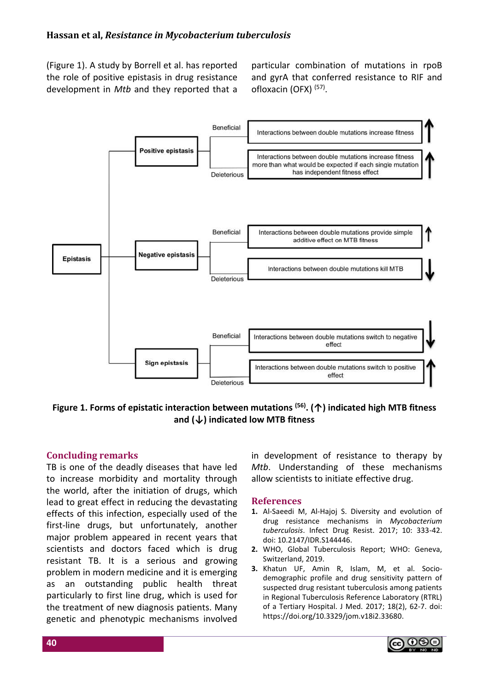(Figure 1). A study by Borrell et al. has reported the role of positive epistasis in drug resistance development in *Mtb* and they reported that a particular combination of mutations in rpoB and gyrA that conferred resistance to RIF and ofloxacin (OFX) <sup>(57)</sup>.



**Figure 1. Forms of epistatic interaction between mutations (56) . (↑) indicated high MTB fitness and (↓) indicated low MTB fitness**

## **Concluding remarks**

TB is one of the deadly diseases that have led to increase morbidity and mortality through the world, after the initiation of drugs, which lead to great effect in reducing the devastating effects of this infection, especially used of the first-line drugs, but unfortunately, another major problem appeared in recent years that scientists and doctors faced which is drug resistant TB. It is a serious and growing problem in modern medicine and it is emerging as an outstanding public health threat particularly to first line drug, which is used for the treatment of new diagnosis patients. Many genetic and phenotypic mechanisms involved in development of resistance to therapy by *Mtb*. Understanding of these mechanisms allow scientists to initiate effective drug.

#### **References**

- **1.** Al-Saeedi M, Al-Hajoj S. Diversity and evolution of drug resistance mechanisms in *Mycobacterium tuberculosis*. Infect Drug Resist. 2017; 10: 333-42. doi: 10.2147/IDR.S144446.
- **2.** WHO, Global Tuberculosis Report; WHO: Geneva, Switzerland, 2019.
- **3.** Khatun UF, Amin R, Islam, M, et al. Sociodemographic profile and drug sensitivity pattern of suspected drug resistant tuberculosis among patients in Regional Tuberculosis Reference Laboratory (RTRL) of a Tertiary Hospital. J Med. 2017; 18(2), 62-7. doi: https://doi.org/10.3329/jom.v18i2.33680.

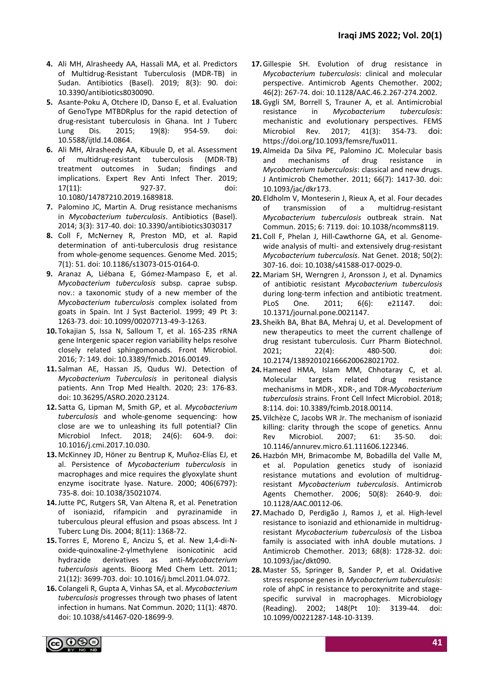- **4.** Ali MH, Alrasheedy AA, Hassali MA, et al. Predictors of Multidrug-Resistant Tuberculosis (MDR-TB) in Sudan. Antibiotics (Basel). 2019; 8(3): 90. doi: 10.3390/antibiotics8030090.
- **5.** Asante-Poku A, Otchere ID, Danso E, et al. Evaluation of GenoType MTBDRplus for the rapid detection of drug-resistant tuberculosis in Ghana. Int J Tuberc Lung Dis. 2015; 19(8): 954-59. doi: 10.5588/ijtld.14.0864.
- **6.** Ali MH, Alrasheedy AA, Kibuule D, et al. Assessment of multidrug-resistant tuberculosis (MDR-TB) treatment outcomes in Sudan; findings and implications. Expert Rev Anti Infect Ther. 2019; 17(11): 927-37. doi: 10.1080/14787210.2019.1689818.
- **7.** Palomino JC, Martin A. Drug resistance mechanisms in *Mycobacterium tuberculosis*. Antibiotics (Basel). 2014; 3(3): 317-40. doi: 10.3390/antibiotics3030317
- **8.** Coll F, McNerney R, Preston MD, et al. Rapid determination of anti-tuberculosis drug resistance from whole-genome sequences. Genome Med. 2015; 7(1): 51. doi: 10.1186/s13073-015-0164-0.
- **9.** Aranaz A, Liébana E, Gómez-Mampaso E, et al. *Mycobacterium tuberculosis* subsp. caprae subsp. nov.: a taxonomic study of a new member of the *Mycobacterium tuberculosis* complex isolated from goats in Spain. Int J Syst Bacteriol. 1999; 49 Pt 3: 1263-73. doi: 10.1099/00207713-49-3-1263.
- **10.** Tokajian S, Issa N, Salloum T, et al. 16S-23S rRNA gene Intergenic spacer region variability helps resolve closely related sphingomonads. Front Microbiol. 2016; 7: 149. doi: 10.3389/fmicb.2016.00149.
- **11.** Salman AE, Hassan JS, Qudus WJ. Detection of *Mycobacterium Tuberculosis* in peritoneal dialysis patients. Ann Trop Med Health. 2020; 23: 176-83. doi: 10.36295/ASRO.2020.23124.
- **12.** Satta G, Lipman M, Smith GP, et al. *Mycobacterium tuberculosis* and whole-genome sequencing: how close are we to unleashing its full potential? Clin Microbiol Infect. 2018; 24(6): 604-9. doi: 10.1016/j.cmi.2017.10.030.
- **13.** McKinney JD, Höner zu Bentrup K, Muñoz-Elías EJ, et al. Persistence of *Mycobacterium tuberculosis* in macrophages and mice requires the glyoxylate shunt enzyme isocitrate lyase. Nature. 2000; 406(6797): 735-8. doi: 10.1038/35021074.
- **14.**Jutte PC, Rutgers SR, Van Altena R, et al. Penetration of isoniazid, rifampicin and pyrazinamide in tuberculous pleural effusion and psoas abscess. Int J Tuberc Lung Dis. 2004; 8(11): 1368-72.
- **15.** Torres E, Moreno E, Ancizu S, et al. New 1,4-di-Noxide-quinoxaline-2-ylmethylene isonicotinic acid hydrazide derivatives as anti-*Mycobacterium tuberculosis* agents. Bioorg Med Chem Lett. 2011; 21(12): 3699-703. doi: 10.1016/j.bmcl.2011.04.072.
- **16.** Colangeli R, Gupta A, Vinhas SA, et al. *Mycobacterium tuberculosis* progresses through two phases of latent infection in humans. Nat Commun. 2020; 11(1): 4870. doi: 10.1038/s41467-020-18699-9.
- **17.**Gillespie SH. Evolution of drug resistance in *Mycobacterium tuberculosis*: clinical and molecular perspective. Antimicrob Agents Chemother. 2002; 46(2): 267-74. doi: 10.1128/AAC.46.2.267-274.2002.
- **18.**Gygli SM, Borrell S, Trauner A, et al. Antimicrobial resistance in *Mycobacterium tuberculosis*: mechanistic and evolutionary perspectives. FEMS Microbiol Rev. 2017; 41(3): 354-73. doi: https://doi.org/10.1093/femsre/fux011.
- **19.**Almeida Da Silva PE, Palomino JC. Molecular basis and mechanisms of drug resistance in *Mycobacterium tuberculosis*: classical and new drugs. J Antimicrob Chemother. 2011; 66(7): 1417-30. doi: 10.1093/jac/dkr173.
- **20.** Eldholm V, Monteserin J, Rieux A, et al. Four decades of transmission of a multidrug-resistant *Mycobacterium tuberculosis* outbreak strain. Nat Commun. 2015; 6: 7119. doi: 10.1038/ncomms8119.
- **21.** Coll F, Phelan J, Hill-Cawthorne GA, et al. Genomewide analysis of multi- and extensively drug-resistant *Mycobacterium tuberculosis*. Nat Genet. 2018; 50(2): 307-16. doi: 10.1038/s41588-017-0029-0.
- **22.** Mariam SH, Werngren J, Aronsson J, et al. Dynamics of antibiotic resistant *Mycobacterium tuberculosis* during long-term infection and antibiotic treatment. PLoS One. 2011; 6(6): e21147. doi: 10.1371/journal.pone.0021147.
- **23.** Sheikh BA, Bhat BA, Mehraj U, et al. Development of new therapeutics to meet the current challenge of drug resistant tuberculosis. Curr Pharm Biotechnol. 2021; 22(4): 480-500. doi: 10.2174/1389201021666200628021702.
- **24.**Hameed HMA, Islam MM, Chhotaray C, et al. Molecular targets related drug resistance mechanisms in MDR-, XDR-, and TDR-*Mycobacterium tuberculosis* strains. Front Cell Infect Microbiol. 2018; 8:114. doi: 10.3389/fcimb.2018.00114.
- **25.** Vilchèze C, Jacobs WR Jr. The mechanism of isoniazid killing: clarity through the scope of genetics. Annu Rev Microbiol. 2007; 61: 35-50. doi: 10.1146/annurev.micro.61.111606.122346.
- **26.**Hazbón MH, Brimacombe M, Bobadilla del Valle M, et al. Population genetics study of isoniazid resistance mutations and evolution of multidrugresistant *Mycobacterium tuberculosis*. Antimicrob Agents Chemother. 2006; 50(8): 2640-9. doi: 10.1128/AAC.00112-06.
- **27.** Machado D, Perdigão J, Ramos J, et al. High-level resistance to isoniazid and ethionamide in multidrugresistant *Mycobacterium tuberculosis* of the Lisboa family is associated with inhA double mutations. J Antimicrob Chemother. 2013; 68(8): 1728-32. doi: 10.1093/jac/dkt090.
- **28.** Master SS, Springer B, Sander P, et al. Oxidative stress response genes in *Mycobacterium tuberculosis*: role of ahpC in resistance to peroxynitrite and stagespecific survival in macrophages. Microbiology (Reading). 2002; 148(Pt 10): 3139-44. doi: 10.1099/00221287-148-10-3139.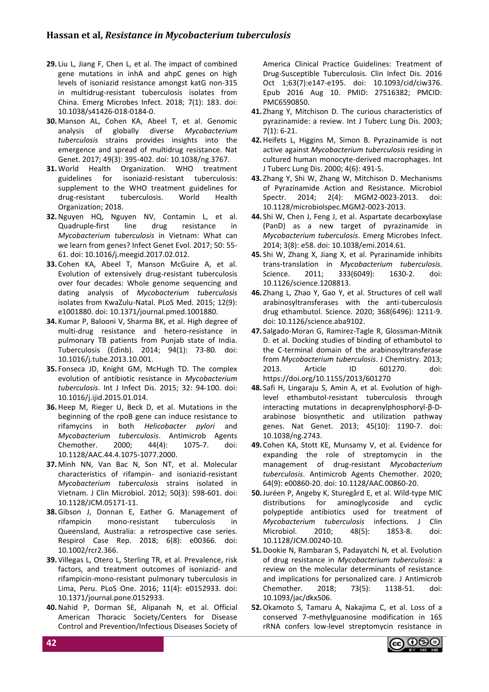- **29.** Liu L, Jiang F, Chen L, et al. The impact of combined gene mutations in inhA and ahpC genes on high levels of isoniazid resistance amongst katG non-315 in multidrug-resistant tuberculosis isolates from China. Emerg Microbes Infect. 2018; 7(1): 183. doi: 10.1038/s41426-018-0184-0.
- **30.** Manson AL, Cohen KA, Abeel T, et al. Genomic analysis of globally diverse *Mycobacterium tuberculosis* strains provides insights into the emergence and spread of multidrug resistance. Nat Genet. 2017; 49(3): 395-402. doi: 10.1038/ng.3767.
- **31.**World Health Organization. WHO treatment guidelines for isoniazid-resistant tuberculosis: supplement to the WHO treatment guidelines for drug-resistant tuberculosis. World Health Organization; 2018.
- **32.**Nguyen HQ, Nguyen NV, Contamin L, et al. Quadruple-first line drug resistance in *Mycobacterium tuberculosis* in Vietnam: What can we learn from genes? Infect Genet Evol. 2017; 50: 55- 61. doi: 10.1016/j.meegid.2017.02.012.
- **33.** Cohen KA, Abeel T, Manson McGuire A, et al. Evolution of extensively drug-resistant tuberculosis over four decades: Whole genome sequencing and dating analysis of *Mycobacterium tuberculosis* isolates from KwaZulu-Natal. PLoS Med. 2015; 12(9): e1001880. doi: 10.1371/journal.pmed.1001880.
- **34.** Kumar P, Balooni V, Sharma BK, et al. High degree of multi-drug resistance and hetero-resistance in pulmonary TB patients from Punjab state of India. Tuberculosis (Edinb). 2014; 94(1): 73-80. doi: 10.1016/j.tube.2013.10.001.
- **35.** Fonseca JD, Knight GM, McHugh TD. The complex evolution of antibiotic resistance in *Mycobacterium tuberculosis*. Int J Infect Dis. 2015; 32: 94-100. doi: 10.1016/j.ijid.2015.01.014.
- **36.**Heep M, Rieger U, Beck D, et al. Mutations in the beginning of the rpoB gene can induce resistance to rifamycins in both *Helicobacter pylori* and *Mycobacterium tuberculosis*. Antimicrob Agents Chemother. 2000; 44(4): 1075-7. doi: 10.1128/AAC.44.4.1075-1077.2000.
- **37.** Minh NN, Van Bac N, Son NT, et al. Molecular characteristics of rifampin- and isoniazid-resistant *Mycobacterium tuberculosis* strains isolated in Vietnam. J Clin Microbiol. 2012; 50(3): 598-601. doi: 10.1128/JCM.05171-11.
- **38.**Gibson J, Donnan E, Eather G. Management of rifampicin mono-resistant tuberculosis in Queensland, Australia: a retrospective case series. Respirol Case Rep. 2018; 6(8): e00366. doi: 10.1002/rcr2.366.
- **39.** Villegas L, Otero L, Sterling TR, et al. Prevalence, risk factors, and treatment outcomes of isoniazid- and rifampicin-mono-resistant pulmonary tuberculosis in Lima, Peru. PLoS One. 2016; 11(4): e0152933. doi: 10.1371/journal.pone.0152933.
- **40.**Nahid P, Dorman SE, Alipanah N, et al. Official American Thoracic Society/Centers for Disease Control and Prevention/Infectious Diseases Society of

America Clinical Practice Guidelines: Treatment of Drug-Susceptible Tuberculosis. Clin Infect Dis. 2016 Oct 1;63(7):e147-e195. doi: 10.1093/cid/ciw376. Epub 2016 Aug 10. PMID: 27516382; PMCID: PMC6590850.

- **41.** Zhang Y, Mitchison D. The curious characteristics of pyrazinamide: a review. Int J Tuberc Lung Dis. 2003; 7(1): 6-21.
- **42.**Heifets L, Higgins M, Simon B. Pyrazinamide is not active against *Mycobacterium tuberculosis* residing in cultured human monocyte-derived macrophages. Int J Tuberc Lung Dis. 2000; 4(6): 491-5.
- **43.** Zhang Y, Shi W, Zhang W, Mitchison D. Mechanisms of Pyrazinamide Action and Resistance. Microbiol Spectr. 2014; 2(4): MGM2-0023-2013. doi: 10.1128/microbiolspec.MGM2-0023-2013.
- **44.** Shi W, Chen J, Feng J, et al. Aspartate decarboxylase (PanD) as a new target of pyrazinamide in *Mycobacterium tuberculosis*. Emerg Microbes Infect. 2014; 3(8): e58. doi: 10.1038/emi.2014.61.
- **45.** Shi W, Zhang X, Jiang X, et al. Pyrazinamide inhibits trans-translation in *Mycobacterium tuberculosis*. Science. 2011; 333(6049): 1630-2. doi: 10.1126/science.1208813.
- **46.** Zhang L, Zhao Y, Gao Y, et al. Structures of cell wall arabinosyltransferases with the anti-tuberculosis drug ethambutol. Science. 2020; 368(6496): 1211-9. doi: 10.1126/science.aba9102.
- **47.** Salgado-Moran G, Ramirez-Tagle R, Glossman-Mitnik D. et al. Docking studies of binding of ethambutol to the C-terminal domain of the arabinosyltransferase from *Mycobacterium tuberculosis*. J Chemistry. 2013; 2013. Article ID 601270. doi: https://doi.org/10.1155/2013/601270
- **48.** Safi H, Lingaraju S, Amin A, et al. Evolution of highlevel ethambutol-resistant tuberculosis through interacting mutations in decaprenylphosphoryl-β-Darabinose biosynthetic and utilization pathway genes. Nat Genet. 2013; 45(10): 1190-7. doi: 10.1038/ng.2743.
- **49.** Cohen KA, Stott KE, Munsamy V, et al. Evidence for expanding the role of streptomycin in the management of drug-resistant *Mycobacterium tuberculosis*. Antimicrob Agents Chemother. 2020; 64(9): e00860-20. doi: 10.1128/AAC.00860-20.
- **50.**Juréen P, Angeby K, Sturegård E, et al. Wild-type MIC distributions for aminoglycoside and cyclic polypeptide antibiotics used for treatment of *Mycobacterium tuberculosis* infections. J Clin Microbiol. 2010; 48(5): 1853-8. doi: 10.1128/JCM.00240-10.
- **51.**Dookie N, Rambaran S, Padayatchi N, et al. Evolution of drug resistance in *Mycobacterium tuberculosis*: a review on the molecular determinants of resistance and implications for personalized care. J Antimicrob Chemother. 2018; 73(5): 1138-51. doi: 10.1093/jac/dkx506.
- **52.**Okamoto S, Tamaru A, Nakajima C, et al. Loss of a conserved 7-methylguanosine modification in 16S rRNA confers low-level streptomycin resistance in